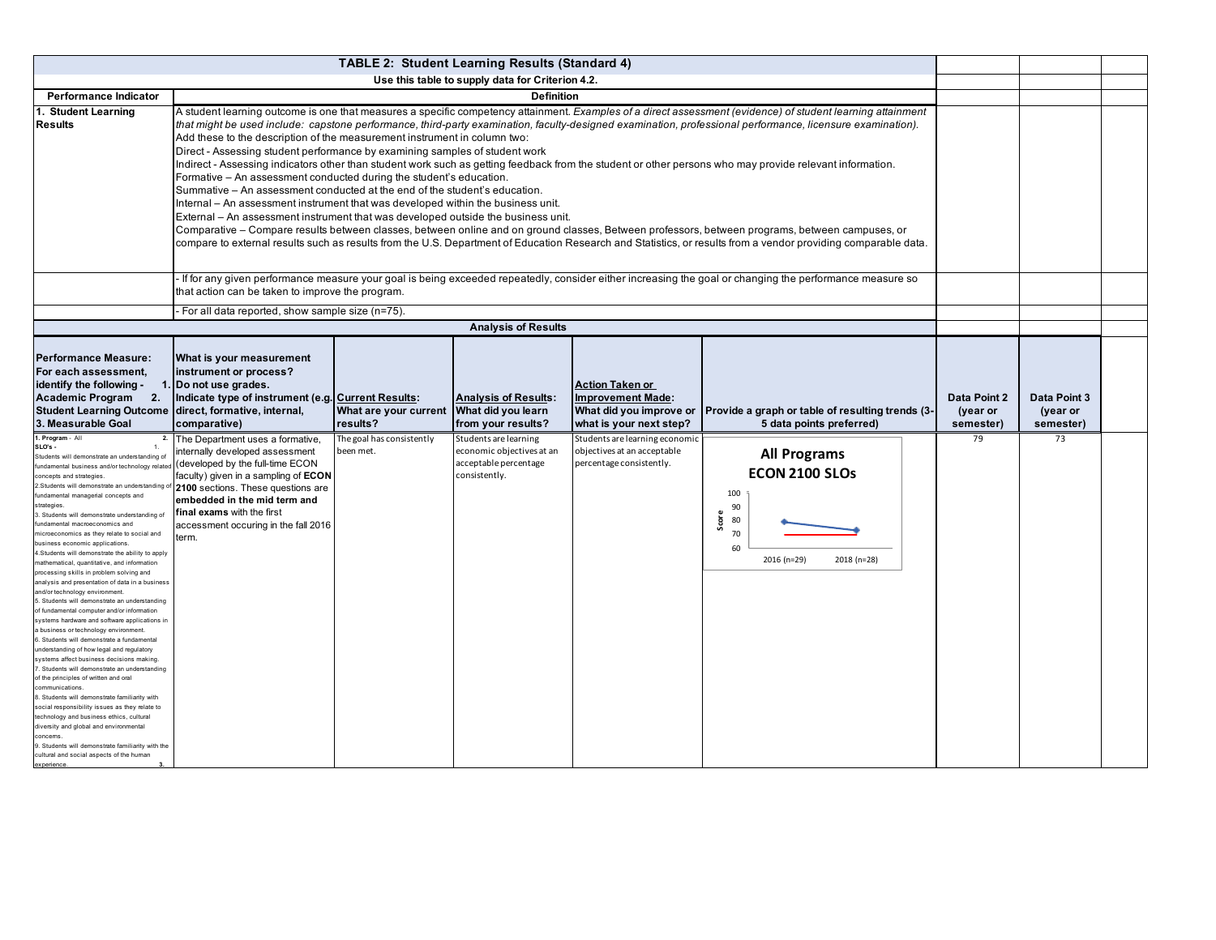| <b>TABLE 2: Student Learning Results (Standard 4)</b>                                                                                                                                                                                                                                                                                                                                                                                                                                                                                                                                                                                                                                                                                                                                                                                                                                                                                                                                                                                                                                                                                                                                                                                                                                                                                                                                                                                   |                                                                                                                                                                                                                                                                                                                                                                                                                                                                                                                                                                                                                                                                                                                                                                                                                                                                                                                                                                                                                                                                                                                                                                                                                                                                                                      |                                                                                                                                                                                                             |                                                                                              |                                                                                                          |                                                                                                                    |                                       |                                              |  |
|-----------------------------------------------------------------------------------------------------------------------------------------------------------------------------------------------------------------------------------------------------------------------------------------------------------------------------------------------------------------------------------------------------------------------------------------------------------------------------------------------------------------------------------------------------------------------------------------------------------------------------------------------------------------------------------------------------------------------------------------------------------------------------------------------------------------------------------------------------------------------------------------------------------------------------------------------------------------------------------------------------------------------------------------------------------------------------------------------------------------------------------------------------------------------------------------------------------------------------------------------------------------------------------------------------------------------------------------------------------------------------------------------------------------------------------------|------------------------------------------------------------------------------------------------------------------------------------------------------------------------------------------------------------------------------------------------------------------------------------------------------------------------------------------------------------------------------------------------------------------------------------------------------------------------------------------------------------------------------------------------------------------------------------------------------------------------------------------------------------------------------------------------------------------------------------------------------------------------------------------------------------------------------------------------------------------------------------------------------------------------------------------------------------------------------------------------------------------------------------------------------------------------------------------------------------------------------------------------------------------------------------------------------------------------------------------------------------------------------------------------------|-------------------------------------------------------------------------------------------------------------------------------------------------------------------------------------------------------------|----------------------------------------------------------------------------------------------|----------------------------------------------------------------------------------------------------------|--------------------------------------------------------------------------------------------------------------------|---------------------------------------|----------------------------------------------|--|
|                                                                                                                                                                                                                                                                                                                                                                                                                                                                                                                                                                                                                                                                                                                                                                                                                                                                                                                                                                                                                                                                                                                                                                                                                                                                                                                                                                                                                                         | Use this table to supply data for Criterion 4.2.                                                                                                                                                                                                                                                                                                                                                                                                                                                                                                                                                                                                                                                                                                                                                                                                                                                                                                                                                                                                                                                                                                                                                                                                                                                     |                                                                                                                                                                                                             |                                                                                              |                                                                                                          |                                                                                                                    |                                       |                                              |  |
| <b>Performance Indicator</b>                                                                                                                                                                                                                                                                                                                                                                                                                                                                                                                                                                                                                                                                                                                                                                                                                                                                                                                                                                                                                                                                                                                                                                                                                                                                                                                                                                                                            |                                                                                                                                                                                                                                                                                                                                                                                                                                                                                                                                                                                                                                                                                                                                                                                                                                                                                                                                                                                                                                                                                                                                                                                                                                                                                                      |                                                                                                                                                                                                             | <b>Definition</b>                                                                            |                                                                                                          |                                                                                                                    |                                       |                                              |  |
| 1. Student Learning<br><b>Results</b>                                                                                                                                                                                                                                                                                                                                                                                                                                                                                                                                                                                                                                                                                                                                                                                                                                                                                                                                                                                                                                                                                                                                                                                                                                                                                                                                                                                                   | A student learning outcome is one that measures a specific competency attainment. Examples of a direct assessment (evidence) of student learning attainment<br>that might be used include: capstone performance, third-party examination, faculty-designed examination, professional performance, licensure examination).<br>Add these to the description of the measurement instrument in column two:<br>Direct - Assessing student performance by examining samples of student work<br>Indirect - Assessing indicators other than student work such as getting feedback from the student or other persons who may provide relevant information.<br>Formative – An assessment conducted during the student's education.<br>Summative – An assessment conducted at the end of the student's education.<br>Internal – An assessment instrument that was developed within the business unit.<br>External - An assessment instrument that was developed outside the business unit.<br>Comparative – Compare results between classes, between online and on ground classes, Between professors, between programs, between campuses, or<br>compare to external results such as results from the U.S. Department of Education Research and Statistics, or results from a vendor providing comparable data. |                                                                                                                                                                                                             |                                                                                              |                                                                                                          |                                                                                                                    |                                       |                                              |  |
|                                                                                                                                                                                                                                                                                                                                                                                                                                                                                                                                                                                                                                                                                                                                                                                                                                                                                                                                                                                                                                                                                                                                                                                                                                                                                                                                                                                                                                         |                                                                                                                                                                                                                                                                                                                                                                                                                                                                                                                                                                                                                                                                                                                                                                                                                                                                                                                                                                                                                                                                                                                                                                                                                                                                                                      | If for any given performance measure your goal is being exceeded repeatedly, consider either increasing the goal or changing the performance measure so<br>that action can be taken to improve the program. |                                                                                              |                                                                                                          |                                                                                                                    |                                       |                                              |  |
|                                                                                                                                                                                                                                                                                                                                                                                                                                                                                                                                                                                                                                                                                                                                                                                                                                                                                                                                                                                                                                                                                                                                                                                                                                                                                                                                                                                                                                         | For all data reported, show sample size (n=75).                                                                                                                                                                                                                                                                                                                                                                                                                                                                                                                                                                                                                                                                                                                                                                                                                                                                                                                                                                                                                                                                                                                                                                                                                                                      |                                                                                                                                                                                                             |                                                                                              |                                                                                                          |                                                                                                                    |                                       |                                              |  |
|                                                                                                                                                                                                                                                                                                                                                                                                                                                                                                                                                                                                                                                                                                                                                                                                                                                                                                                                                                                                                                                                                                                                                                                                                                                                                                                                                                                                                                         |                                                                                                                                                                                                                                                                                                                                                                                                                                                                                                                                                                                                                                                                                                                                                                                                                                                                                                                                                                                                                                                                                                                                                                                                                                                                                                      |                                                                                                                                                                                                             | <b>Analysis of Results</b>                                                                   |                                                                                                          |                                                                                                                    |                                       |                                              |  |
| <b>Performance Measure:</b><br>For each assessment,<br>identify the following -<br><b>Academic Program</b><br>2.<br><b>Student Learning Outcome</b><br>3. Measurable Goal                                                                                                                                                                                                                                                                                                                                                                                                                                                                                                                                                                                                                                                                                                                                                                                                                                                                                                                                                                                                                                                                                                                                                                                                                                                               | What is your measurement<br>instrument or process?<br>1. Do not use grades.<br>Indicate type of instrument (e.g. Current Results:<br>direct, formative, internal,<br>comparative)                                                                                                                                                                                                                                                                                                                                                                                                                                                                                                                                                                                                                                                                                                                                                                                                                                                                                                                                                                                                                                                                                                                    | What are your current<br>results?                                                                                                                                                                           | <b>Analysis of Results:</b><br>What did you learn<br>from your results?                      | <b>Action Taken or</b><br><b>Improvement Made:</b><br>What did you improve or<br>what is your next step? | Provide a graph or table of resulting trends (3-<br>5 data points preferred)                                       | Data Point 2<br>(year or<br>semester) | <b>Data Point 3</b><br>(year or<br>semester) |  |
| 1. Program - All<br>2.<br>SLO's -<br>-1.<br>Students will demonstrate an understanding of<br>fundamental business and/or technology relate<br>concepts and strategies<br>2.Students will demonstrate an understanding o<br>fundamental managerial concepts and<br>strategies.<br>3. Students will demonstrate understanding of<br>fundamental macroeconomics and<br>microeconomics as they relate to social and<br>business economic applications<br>4.Students will demonstrate the ability to apply<br>mathematical, quantitative, and information<br>processing skills in problem solving and<br>analysis and presentation of data in a business<br>and/or technology environment.<br>5. Students will demonstrate an understanding<br>of fundamental computer and/or information<br>systems hardware and software applications i<br>a business or technology environment<br>6. Students will demonstrate a fundamental<br>understanding of how legal and regulatory<br>systems affect business decisions making.<br>7. Students will demonstrate an understanding<br>of the principles of written and oral<br>communications.<br>8. Students will demonstrate familiarity with<br>social responsibility issues as they relate to<br>technology and business ethics, cultural<br>diversity and global and environmental<br>concems.<br>9. Students will demonstrate familiarity with the<br>cultural and social aspects of the human | The Department uses a formative,<br>internally developed assessment<br>(developed by the full-time ECON<br>faculty) given in a sampling of <b>ECON</b><br>2100 sections. These questions are<br>embedded in the mid term and<br><b>final exams</b> with the first<br>accessment occuring in the fall 2016<br>term.                                                                                                                                                                                                                                                                                                                                                                                                                                                                                                                                                                                                                                                                                                                                                                                                                                                                                                                                                                                   | The goal has consistently<br>been met.                                                                                                                                                                      | Students are learning<br>economic objectives at an<br>acceptable percentage<br>consistently. | Students are learning economic<br>objectives at an acceptable<br>percentage consistently.                | <b>All Programs</b><br><b>ECON 2100 SLOs</b><br>100<br>90<br>Score<br>80<br>70<br>60<br>2016 (n=29)<br>2018 (n=28) | 79                                    | 73                                           |  |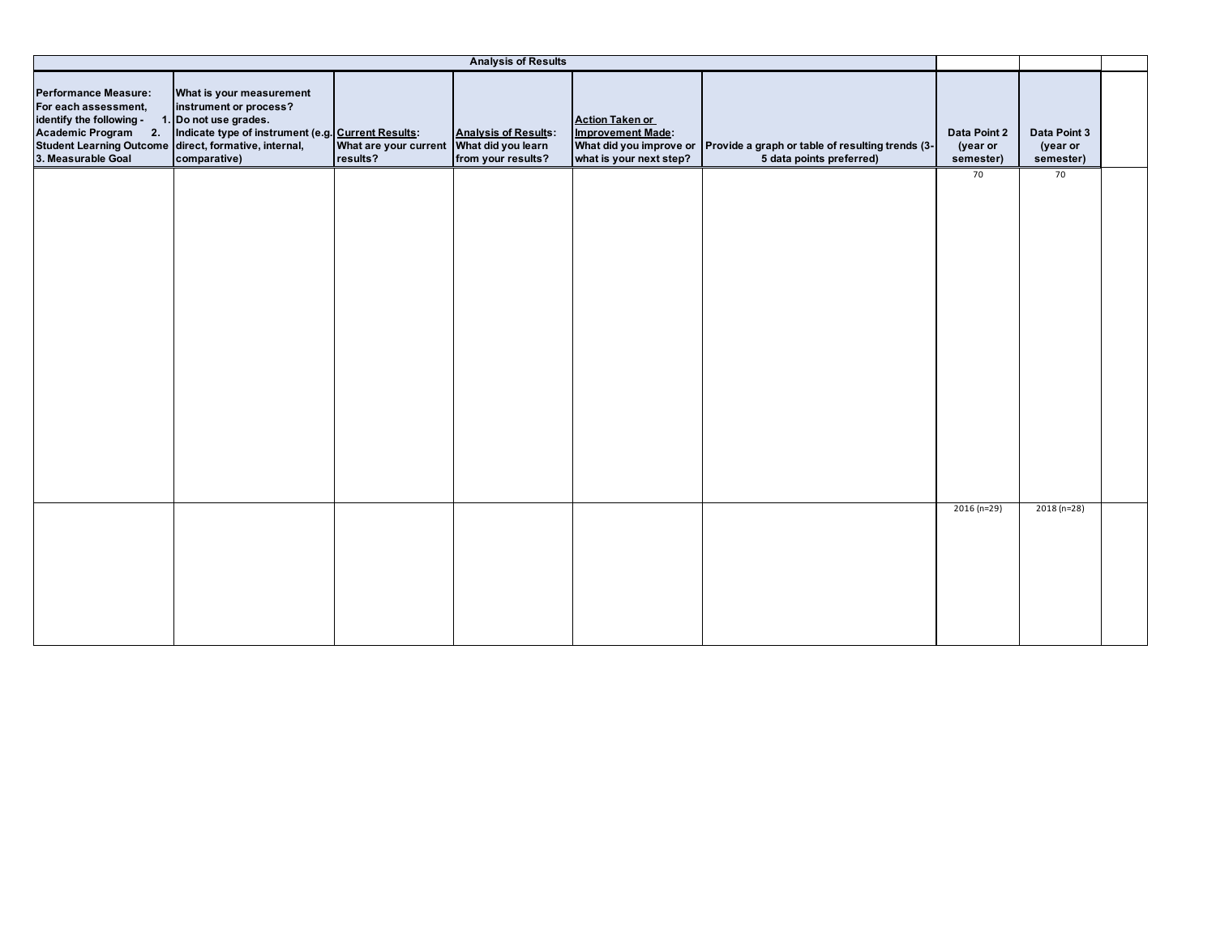|                                                                                                                                                                                       |                                                                                                                                                   |                                                      | <b>Analysis of Results</b>                        |                                                                               |                                                                                                      |                                       |                                       |  |
|---------------------------------------------------------------------------------------------------------------------------------------------------------------------------------------|---------------------------------------------------------------------------------------------------------------------------------------------------|------------------------------------------------------|---------------------------------------------------|-------------------------------------------------------------------------------|------------------------------------------------------------------------------------------------------|---------------------------------------|---------------------------------------|--|
| <b>Performance Measure:</b><br>For each assessment,<br>identify the following -<br>Academic Program 2.<br>Student Learning Outcome direct, formative, internal,<br>3. Measurable Goal | What is your measurement<br>instrument or process?<br>1. Do not use grades.<br>Indicate type of instrument (e.g. Current Results:<br>comparative) | What are your current What did you learn<br>results? | <b>Analysis of Results:</b><br>from your results? | <b>Action Taken or</b><br><b>Improvement Made:</b><br>what is your next step? | What did you improve or Provide a graph or table of resulting trends (3-<br>5 data points preferred) | Data Point 2<br>(year or<br>semester) | Data Point 3<br>(year or<br>semester) |  |
|                                                                                                                                                                                       |                                                                                                                                                   |                                                      |                                                   |                                                                               |                                                                                                      | 70                                    | 70                                    |  |
|                                                                                                                                                                                       |                                                                                                                                                   |                                                      |                                                   |                                                                               |                                                                                                      |                                       |                                       |  |
|                                                                                                                                                                                       |                                                                                                                                                   |                                                      |                                                   |                                                                               |                                                                                                      | $2016(n=29)$                          | $2018(n=28)$                          |  |
|                                                                                                                                                                                       |                                                                                                                                                   |                                                      |                                                   |                                                                               |                                                                                                      |                                       |                                       |  |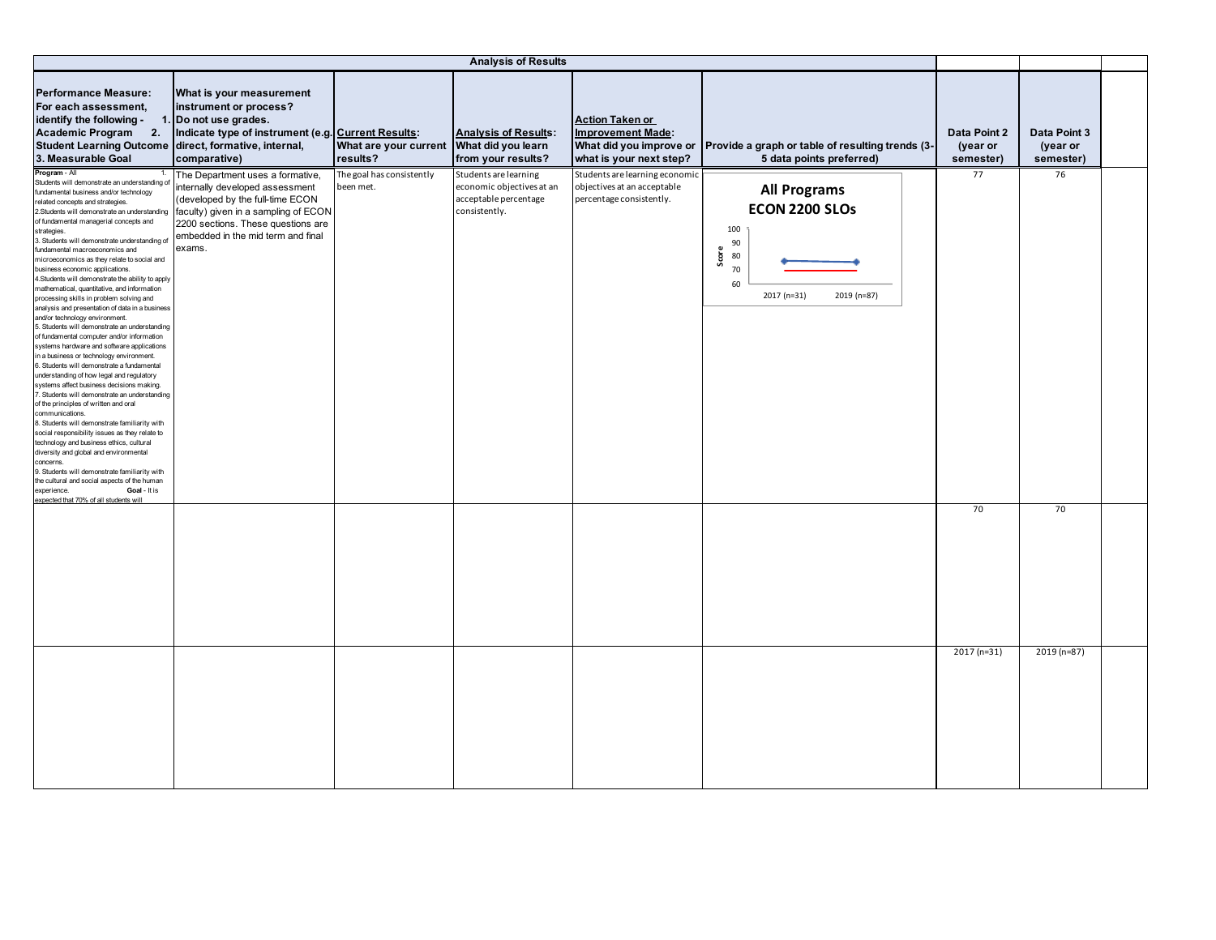| <b>Performance Measure:</b><br>For each assessment,<br>identify the following -<br>Academic Program 2.<br><b>Student Learning Outcome</b><br>3. Measurable Goal                                                                                                                                                                                                                                                                                                                                                                                                                                                                                                                                                                                                                                                                                                                                                                                                                                                                                                                                                                                                                                                                                                                                                                                                                                                                                                                                 | What is your measurement<br>instrument or process?<br>1. Do not use grades.<br>Indicate type of instrument (e.g. Current Results:<br>direct, formative, internal,<br>comparative)                                                     | What are your current What did you learn<br>results? | <b>Analysis of Results:</b><br>from your results?                                            | <b>Action Taken or</b><br><b>Improvement Made:</b><br>What did you improve or<br>what is your next step? | Provide a graph or table of resulting trends (3-<br>5 data points preferred)                                | Data Point 2<br>(year or<br>semester) | Data Point 3<br>(year or<br>semester) |  |
|-------------------------------------------------------------------------------------------------------------------------------------------------------------------------------------------------------------------------------------------------------------------------------------------------------------------------------------------------------------------------------------------------------------------------------------------------------------------------------------------------------------------------------------------------------------------------------------------------------------------------------------------------------------------------------------------------------------------------------------------------------------------------------------------------------------------------------------------------------------------------------------------------------------------------------------------------------------------------------------------------------------------------------------------------------------------------------------------------------------------------------------------------------------------------------------------------------------------------------------------------------------------------------------------------------------------------------------------------------------------------------------------------------------------------------------------------------------------------------------------------|---------------------------------------------------------------------------------------------------------------------------------------------------------------------------------------------------------------------------------------|------------------------------------------------------|----------------------------------------------------------------------------------------------|----------------------------------------------------------------------------------------------------------|-------------------------------------------------------------------------------------------------------------|---------------------------------------|---------------------------------------|--|
| Program - All<br>1.<br>Students will demonstrate an understanding o<br>fundamental business and/or technology<br>related concepts and strategies.<br>2.Students will demonstrate an understanding<br>of fundamental managerial concepts and<br>strategies.<br>3. Students will demonstrate understanding of<br>fundamental macroeconomics and<br>microeconomics as they relate to social and<br>business economic applications.<br>4. Students will demonstrate the ability to apply<br>mathematical, quantitative, and information<br>processing skills in problem solving and<br>analysis and presentation of data in a business<br>and/or technology environment.<br>5. Students will demonstrate an understanding<br>of fundamental computer and/or information<br>systems hardware and software applications<br>in a business or technology environment.<br>6. Students will demonstrate a fundamental<br>understanding of how legal and regulatory<br>systems affect business decisions making.<br>7. Students will demonstrate an understanding<br>of the principles of written and oral<br>communications.<br>8. Students will demonstrate familiarity with<br>social responsibility issues as they relate to<br>technology and business ethics, cultural<br>diversity and global and environmental<br>concerns.<br>9. Students will demonstrate familiarity with<br>the cultural and social aspects of the human<br>Goal - It is<br>experience.<br>expected that 70% of all students w | The Department uses a formative,<br>internally developed assessment<br>(developed by the full-time ECON<br>faculty) given in a sampling of ECON<br>2200 sections. These questions are<br>embedded in the mid term and final<br>exams. | The goal has consistently<br>been met.               | Students are learning<br>economic objectives at an<br>acceptable percentage<br>consistently. | Students are learning economic<br>objectives at an acceptable<br>percentage consistently.                | <b>All Programs</b><br>ECON 2200 SLOs<br>100<br>90<br>Score<br>80<br>70<br>60<br>2017 (n=31)<br>2019 (n=87) | 77                                    | 76                                    |  |
|                                                                                                                                                                                                                                                                                                                                                                                                                                                                                                                                                                                                                                                                                                                                                                                                                                                                                                                                                                                                                                                                                                                                                                                                                                                                                                                                                                                                                                                                                                 |                                                                                                                                                                                                                                       |                                                      |                                                                                              |                                                                                                          |                                                                                                             | 70                                    | 70                                    |  |
|                                                                                                                                                                                                                                                                                                                                                                                                                                                                                                                                                                                                                                                                                                                                                                                                                                                                                                                                                                                                                                                                                                                                                                                                                                                                                                                                                                                                                                                                                                 |                                                                                                                                                                                                                                       |                                                      |                                                                                              |                                                                                                          |                                                                                                             | 2017 (n=31)                           | 2019 (n=87)                           |  |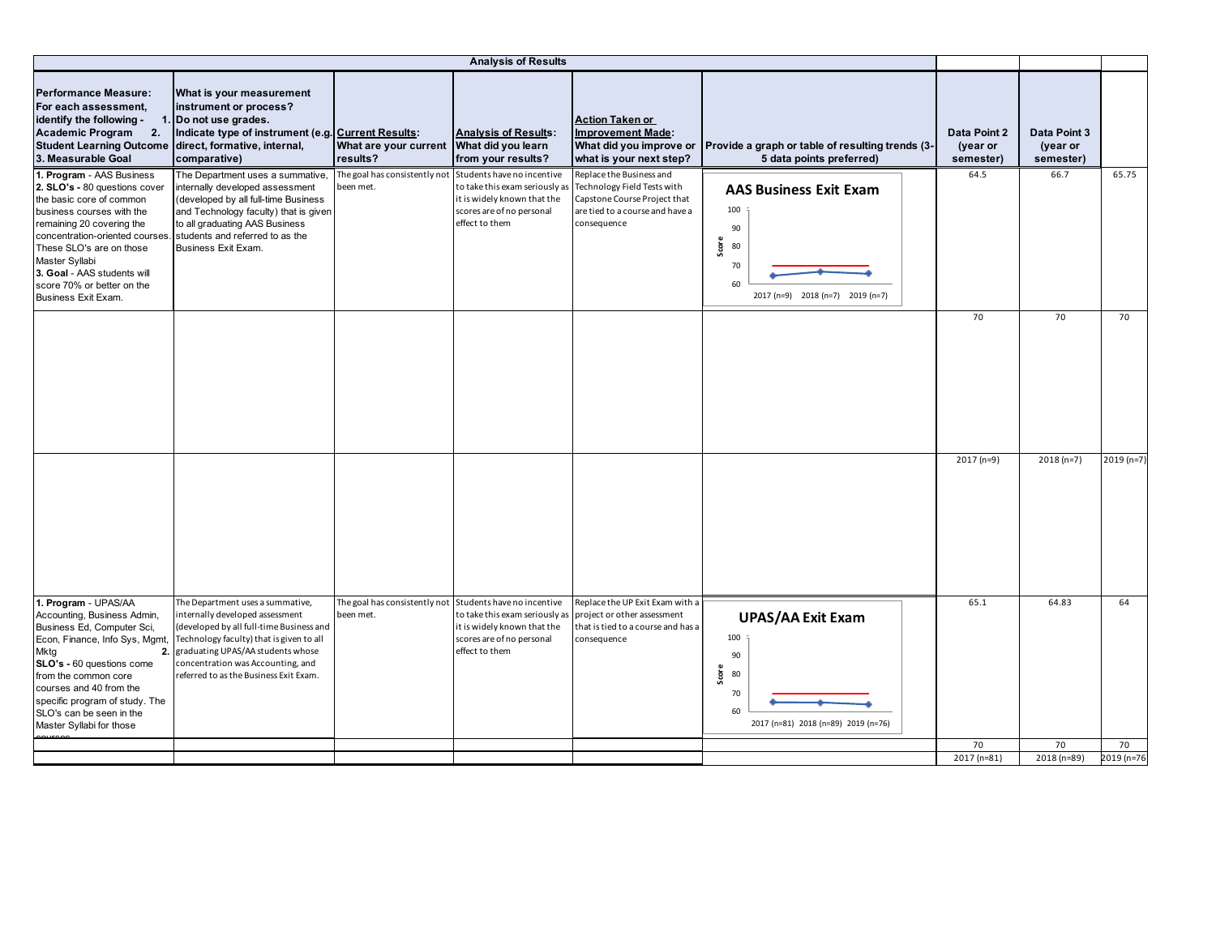|                                                                                                                                                                                                                                                                                                                       |                                                                                                                                                                                                                                                                                    |                                            | <b>Analysis of Results</b>                                                                                                                 |                                                                                                                                           |                                                                                                           |                                       |                                       |                  |
|-----------------------------------------------------------------------------------------------------------------------------------------------------------------------------------------------------------------------------------------------------------------------------------------------------------------------|------------------------------------------------------------------------------------------------------------------------------------------------------------------------------------------------------------------------------------------------------------------------------------|--------------------------------------------|--------------------------------------------------------------------------------------------------------------------------------------------|-------------------------------------------------------------------------------------------------------------------------------------------|-----------------------------------------------------------------------------------------------------------|---------------------------------------|---------------------------------------|------------------|
| <b>Performance Measure:</b><br>For each assessment,<br>identify the following -<br><b>Academic Program</b><br>2.<br>Student Learning Outcome direct, formative, internal,<br>3. Measurable Goal                                                                                                                       | What is your measurement<br>instrument or process?<br>1. Do not use grades.<br>Indicate type of instrument (e.g. Current Results:<br>comparative)                                                                                                                                  | What are your current<br>results?          | <b>Analysis of Results:</b><br>What did you learn<br>from your results?                                                                    | <b>Action Taken or</b><br><b>Improvement Made:</b><br>What did you improve or<br>what is your next step?                                  | Provide a graph or table of resulting trends (3-<br>5 data points preferred)                              | Data Point 2<br>(year or<br>semester) | Data Point 3<br>(year or<br>semester) |                  |
| 1. Program - AAS Business<br>2. SLO's - 80 questions cover<br>the basic core of common<br>business courses with the<br>remaining 20 covering the<br>concentration-oriented courses.<br>These SLO's are on those<br>Master Syllabi<br>3. Goal - AAS students will<br>score 70% or better on the<br>Business Exit Exam. | The Department uses a summative,<br>internally developed assessment<br>(developed by all full-time Business<br>and Technology faculty) that is given<br>to all graduating AAS Business<br>students and referred to as the<br>Business Exit Exam.                                   | The goal has consistently not<br>been met. | Students have no incentive<br>to take this exam seriously as<br>it is widely known that the<br>scores are of no personal<br>effect to them | Replace the Business and<br>Technology Field Tests with<br>Capstone Course Project that<br>are tied to a course and have a<br>consequence | <b>AAS Business Exit Exam</b><br>100<br>90<br>Score<br>80<br>70<br>60<br>2017 (n=9) 2018 (n=7) 2019 (n=7) | 64.5                                  | 66.7                                  | 65.75            |
|                                                                                                                                                                                                                                                                                                                       |                                                                                                                                                                                                                                                                                    |                                            |                                                                                                                                            |                                                                                                                                           |                                                                                                           | 70                                    | 70                                    | 70               |
|                                                                                                                                                                                                                                                                                                                       |                                                                                                                                                                                                                                                                                    |                                            |                                                                                                                                            |                                                                                                                                           |                                                                                                           | 2017 (n=9)                            | $2018(n=7)$                           | 2019 (n=7)       |
| 1. Program - UPAS/AA<br>Accounting, Business Admin,<br>Business Ed, Computer Sci,<br>Econ, Finance, Info Sys, Mgmt,<br>Mktg<br>SLO's - 60 questions come<br>from the common core<br>courses and 40 from the<br>specific program of study. The<br>SLO's can be seen in the<br>Master Syllabi for those                 | The Department uses a summative,<br>internally developed assessment<br>(developed by all full-time Business and<br>Technology faculty) that is given to all<br>2. graduating UPAS/AA students whose<br>concentration was Accounting, and<br>referred to as the Business Exit Exam. | The goal has consistently not<br>been met. | Students have no incentive<br>to take this exam seriously as<br>it is widely known that the<br>scores are of no personal<br>effect to them | Replace the UP Exit Exam with a<br>project or other assessment<br>that is tied to a course and has a<br>consequence                       | <b>UPAS/AA Exit Exam</b><br>100<br>90<br>Score<br>80<br>70<br>60<br>2017 (n=81) 2018 (n=89) 2019 (n=76)   | 65.1                                  | 64.83                                 | 64               |
|                                                                                                                                                                                                                                                                                                                       |                                                                                                                                                                                                                                                                                    |                                            |                                                                                                                                            |                                                                                                                                           |                                                                                                           | 70<br>2017 (n=81)                     | 70<br>2018 (n=89)                     | 70<br>2019 (n=76 |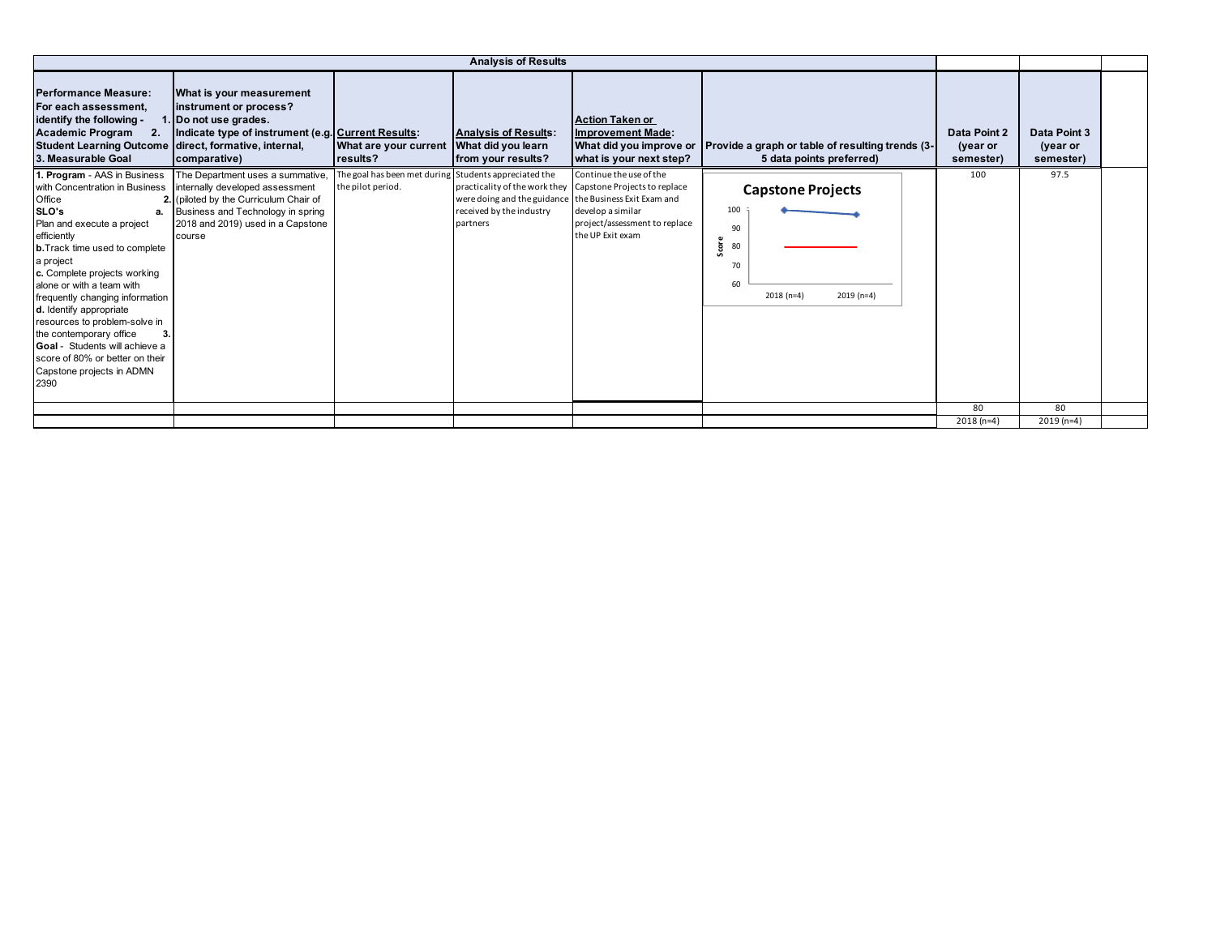|                                                                                                                                                                                                                                                                                                                                                                                                                                                           |                                                                                                                                                                                                                                  |                                                                            | <b>Analysis of Results</b>                                                                     |                                                                                                                                                                 |                                                                                            |                                       |                                       |  |
|-----------------------------------------------------------------------------------------------------------------------------------------------------------------------------------------------------------------------------------------------------------------------------------------------------------------------------------------------------------------------------------------------------------------------------------------------------------|----------------------------------------------------------------------------------------------------------------------------------------------------------------------------------------------------------------------------------|----------------------------------------------------------------------------|------------------------------------------------------------------------------------------------|-----------------------------------------------------------------------------------------------------------------------------------------------------------------|--------------------------------------------------------------------------------------------|---------------------------------------|---------------------------------------|--|
| <b>Performance Measure:</b><br>For each assessment,<br>identify the following -<br><b>Academic Program</b><br>2.<br>Student Learning Outcome direct, formative, internal,<br>3. Measurable Goal                                                                                                                                                                                                                                                           | What is your measurement<br>instrument or process?<br>. Do not use grades.<br>Indicate type of instrument (e.g. Current Results:<br>comparative)                                                                                 | What are your current<br>results?                                          | <b>Analysis of Results:</b><br>What did you learn<br>from your results?                        | <b>Action Taken or</b><br><b>Improvement Made:</b><br>What did you improve or<br>what is your next step?                                                        | Provide a graph or table of resulting trends (3-<br>5 data points preferred)               | Data Point 2<br>(year or<br>semester) | Data Point 3<br>(year or<br>semester) |  |
| 1. Program - AAS in Business<br>Office<br>SLO's<br>a.<br>Plan and execute a project<br>efficiently<br><b>b.</b> Track time used to complete<br>a project<br>c. Complete projects working<br>alone or with a team with<br>frequently changing information<br>d. Identify appropriate<br>resources to problem-solve in<br>the contemporary office<br>Goal - Students will achieve a<br>score of 80% or better on their<br>Capstone projects in ADMN<br>2390 | The Department uses a summative,<br>with Concentration in Business internally developed assessment<br>2. (piloted by the Curriculum Chair of<br>Business and Technology in spring<br>2018 and 2019) used in a Capstone<br>course | The goal has been met during Students appreciated the<br>the pilot period. | were doing and the guidance the Business Exit Exam and<br>received by the industry<br>partners | Continue the use of the<br>practicality of the work they Capstone Projects to replace<br>develop a similar<br>project/assessment to replace<br>the UP Exit exam | <b>Capstone Projects</b><br>100<br>90<br>80<br>Š<br>70<br>60<br>$2018(n=4)$<br>$2019(n=4)$ | 100                                   | 97.5                                  |  |
|                                                                                                                                                                                                                                                                                                                                                                                                                                                           |                                                                                                                                                                                                                                  |                                                                            |                                                                                                |                                                                                                                                                                 |                                                                                            | 80                                    | 80                                    |  |
|                                                                                                                                                                                                                                                                                                                                                                                                                                                           |                                                                                                                                                                                                                                  |                                                                            |                                                                                                |                                                                                                                                                                 |                                                                                            | $2018(n=4)$                           | $2019(n=4)$                           |  |